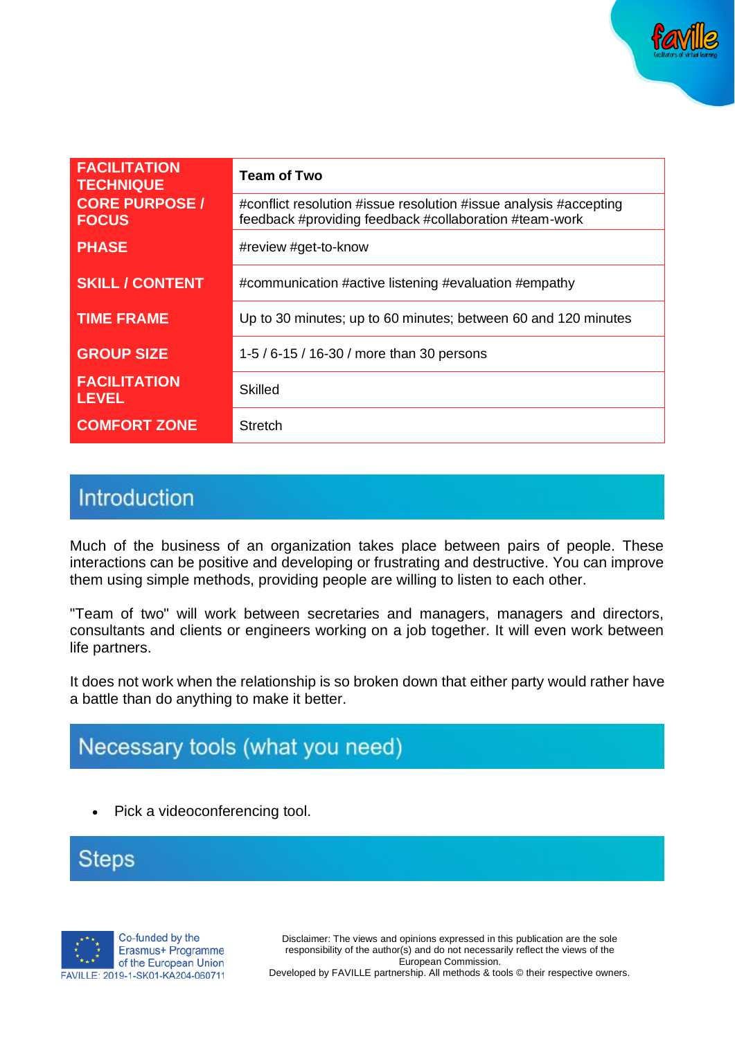

| <b>FACILITATION</b><br><b>TECHNIQUE</b> | <b>Team of Two</b>                                                                                                          |
|-----------------------------------------|-----------------------------------------------------------------------------------------------------------------------------|
| <b>CORE PURPOSE /</b><br><b>FOCUS</b>   | #conflict resolution #issue resolution #issue analysis #accepting<br>feedback #providing feedback #collaboration #team-work |
| <b>PHASE</b>                            | #review #get-to-know                                                                                                        |
| <b>SKILL / CONTENT</b>                  | #communication #active listening #evaluation #empathy                                                                       |
| <b>TIME FRAME</b>                       | Up to 30 minutes; up to 60 minutes; between 60 and 120 minutes                                                              |
| <b>GROUP SIZE</b>                       | 1-5 / 6-15 / 16-30 / more than 30 persons                                                                                   |
| <b>FACILITATION</b><br>LEVEL            | Skilled                                                                                                                     |
| <b>COMFORT ZONE</b>                     | <b>Stretch</b>                                                                                                              |

## Introduction

Much of the business of an organization takes place between pairs of people. These interactions can be positive and developing or frustrating and destructive. You can improve them using simple methods, providing people are willing to listen to each other.

"Team of two" will work between secretaries and managers, managers and directors, consultants and clients or engineers working on a job together. It will even work between life partners.

It does not work when the relationship is so broken down that either party would rather have a battle than do anything to make it better.

# Necessary tools (what you need)

• Pick a videoconferencing tool.

**Steps** 



Disclaimer: The views and opinions expressed in this publication are the sole responsibility of the author(s) and do not necessarily reflect the views of the European Commission. Developed by FAVILLE partnership. All methods & tools © their respective owners.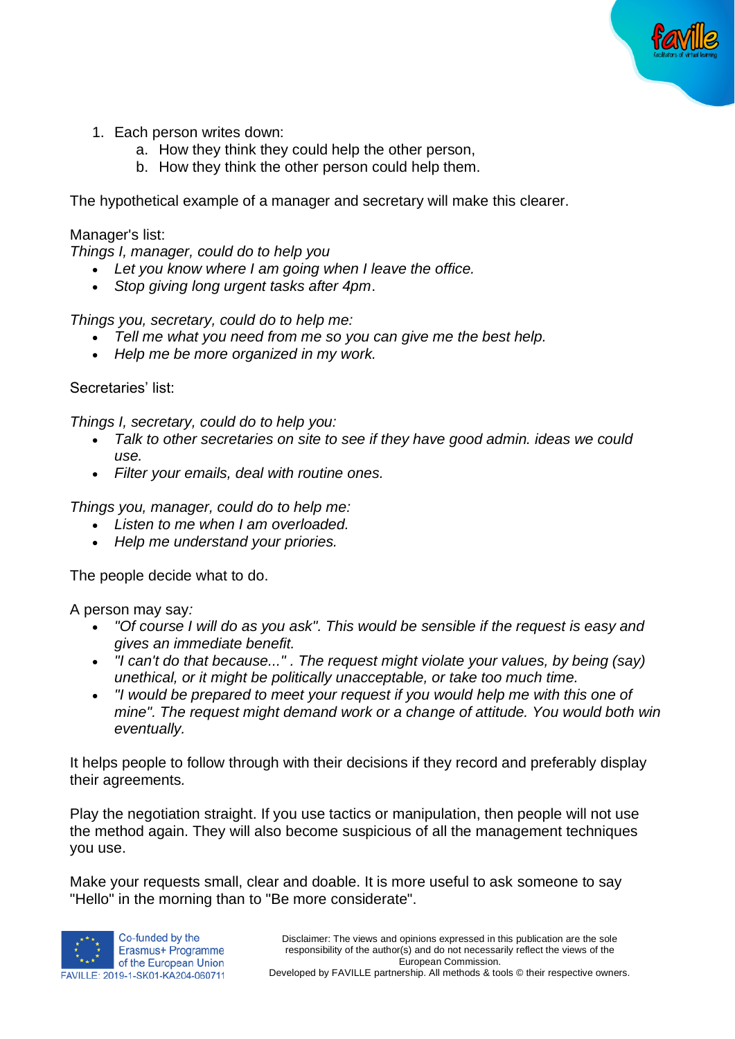

- 1. Each person writes down:
	- a. How they think they could help the other person,
	- b. How they think the other person could help them.

The hypothetical example of a manager and secretary will make this clearer.

#### Manager's list:

*Things I, manager, could do to help you*

- *Let you know where I am going when I leave the office.*
- *Stop giving long urgent tasks after 4pm*.

*Things you, secretary, could do to help me:*

- *Tell me what you need from me so you can give me the best help.*
- *Help me be more organized in my work.*

Secretaries' list:

*Things I, secretary, could do to help you:*

- *Talk to other secretaries on site to see if they have good admin. ideas we could use.*
- *Filter your emails, deal with routine ones.*

*Things you, manager, could do to help me:*

- *Listen to me when I am overloaded.*
- *Help me understand your priories.*

The people decide what to do.

A person may say*:*

- *"Of course I will do as you ask". This would be sensible if the request is easy and gives an immediate benefit.*
- *"I can't do that because..." . The request might violate your values, by being (say) unethical, or it might be politically unacceptable, or take too much time.*
- *"I would be prepared to meet your request if you would help me with this one of mine". The request might demand work or a change of attitude. You would both win eventually.*

It helps people to follow through with their decisions if they record and preferably display their agreements*.*

Play the negotiation straight. If you use tactics or manipulation, then people will not use the method again. They will also become suspicious of all the management techniques you use.

Make your requests small, clear and doable. It is more useful to ask someone to say "Hello" in the morning than to "Be more considerate".